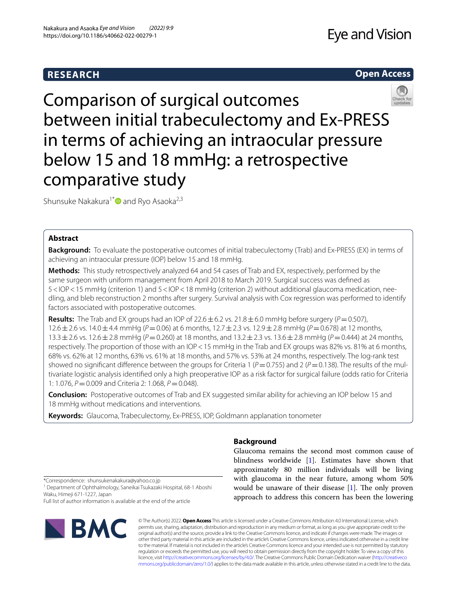# **RESEARCH**





Comparison of surgical outcomes between initial trabeculectomy and Ex-PRESS in terms of achieving an intraocular pressure below 15 and 18 mmHg: a retrospective comparative study

Shunsuke Nakakura<sup>1[\\*](http://orcid.org/0000-0002-1094-1862)</sup> and Ryo Asaoka<sup>2,3</sup>

# **Abstract**

**Background:** To evaluate the postoperative outcomes of initial trabeculectomy (Trab) and Ex-PRESS (EX) in terms of achieving an intraocular pressure (IOP) below 15 and 18 mmHg.

**Methods:** This study retrospectively analyzed 64 and 54 cases of Trab and EX, respectively, performed by the same surgeon with uniform management from April 2018 to March 2019. Surgical success was defned as 5<IOP<15 mmHg (criterion 1) and 5<IOP<18 mmHg (criterion 2) without additional glaucoma medication, needling, and bleb reconstruction 2 months after surgery. Survival analysis with Cox regression was performed to identify factors associated with postoperative outcomes.

**Results:** The Trab and EX groups had an IOP of 22.6  $\pm$  6.2 vs. 21.8  $\pm$  6.0 mmHg before surgery ( $P = 0.507$ ), 12.6±2.6 vs. 14.0±4.4 mmHg (*P*=0.06) at 6 months, 12.7±2.3 vs. 12.9±2.8 mmHg (*P*=0.678) at 12 months, 13.3±2.6 vs. 12.6±2.8 mmHg (*P*=0.260) at 18 months, and 13.2±2.3 vs. 13.6±2.8 mmHg (*P*=0.444) at 24 months, respectively. The proportion of those with an IOP<15 mmHg in the Trab and EX groups was 82% vs. 81% at 6 months, 68% vs. 62% at 12 months, 63% vs. 61% at 18 months, and 57% vs. 53% at 24 months, respectively. The log-rank test showed no significant difference between the groups for Criteria 1 ( $P=0.755$ ) and 2 ( $P=0.138$ ). The results of the multivariate logistic analysis identifed only a high preoperative IOP as a risk factor for surgical failure (odds ratio for Criteria 1: 1.076, *P*=0.009 and Criteria 2: 1.068, *P*=0.048).

**Conclusion:** Postoperative outcomes of Trab and EX suggested similar ability for achieving an IOP below 15 and 18 mmHg without medications and interventions.

**Keywords:** Glaucoma, Trabeculectomy, Ex-PRESS, IOP, Goldmann applanation tonometer

## **Background**

Glaucoma remains the second most common cause of blindness worldwide [\[1\]](#page-6-0). Estimates have shown that approximately 80 million individuals will be living with glaucoma in the near future, among whom 50% would be unaware of their disease  $[1]$  $[1]$ . The only proven approach to address this concern has been the lowering

\*Correspondence: shunsukenakakura@yahoo.co.jp

<sup>1</sup> Department of Ophthalmology, Saneikai Tsukazaki Hospital, 68-1 Aboshi Waku, Himeji 671-1227, Japan

Full list of author information is available at the end of the article



© The Author(s) 2022. **Open Access** This article is licensed under a Creative Commons Attribution 4.0 International License, which permits use, sharing, adaptation, distribution and reproduction in any medium or format, as long as you give appropriate credit to the original author(s) and the source, provide a link to the Creative Commons licence, and indicate if changes were made. The images or other third party material in this article are included in the article's Creative Commons licence, unless indicated otherwise in a credit line to the material. If material is not included in the article's Creative Commons licence and your intended use is not permitted by statutory regulation or exceeds the permitted use, you will need to obtain permission directly from the copyright holder. To view a copy of this licence, visit [http://creativecommons.org/licenses/by/4.0/.](http://creativecommons.org/licenses/by/4.0/) The Creative Commons Public Domain Dedication waiver ([http://creativeco](http://creativecommons.org/publicdomain/zero/1.0/) [mmons.org/publicdomain/zero/1.0/](http://creativecommons.org/publicdomain/zero/1.0/)) applies to the data made available in this article, unless otherwise stated in a credit line to the data.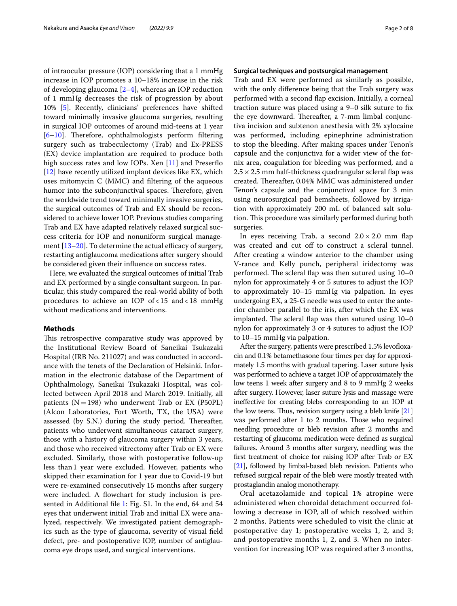of intraocular pressure (IOP) considering that a 1 mmHg increase in IOP promotes a 10–18% increase in the risk of developing glaucoma [\[2](#page-6-1)[–4](#page-6-2)], whereas an IOP reduction of 1 mmHg decreases the risk of progression by about 10% [[5\]](#page-6-3). Recently, clinicians' preferences have shifted toward minimally invasive glaucoma surgeries, resulting in surgical IOP outcomes of around mid-teens at 1 year  $[6–10]$  $[6–10]$  $[6–10]$ . Therefore, ophthalmologists perform filtering surgery such as trabeculectomy (Trab) and Ex-PRESS (EX) device implantation are required to produce both high success rates and low IOPs. Xen [\[11](#page-7-2)] and Preserflo [[12\]](#page-7-3) have recently utilized implant devices like EX, which uses mitomycin C (MMC) and fltering of the aqueous humor into the subconjunctival spaces. Therefore, given the worldwide trend toward minimally invasive surgeries, the surgical outcomes of Trab and EX should be reconsidered to achieve lower IOP. Previous studies comparing Trab and EX have adapted relatively relaxed surgical success criteria for IOP and nonuniform surgical management  $[13–20]$  $[13–20]$ . To determine the actual efficacy of surgery, restarting antiglaucoma medications after surgery should be considered given their infuence on success rates.

Here, we evaluated the surgical outcomes of initial Trab and EX performed by a single consultant surgeon. In particular, this study compared the real-world ability of both procedures to achieve an IOP of<15 and<18 mmHg without medications and interventions.

### **Methods**

This retrospective comparative study was approved by the Institutional Review Board of Saneikai Tsukazaki Hospital (IRB No. 211027) and was conducted in accordance with the tenets of the Declaration of Helsinki. Information in the electronic database of the Department of Ophthalmology, Saneikai Tsukazaki Hospital, was collected between April 2018 and March 2019. Initially, all patients  $(N=198)$  who underwent Trab or EX (P50PL) (Alcon Laboratories, Fort Worth, TX, the USA) were assessed (by S.N.) during the study period. Thereafter, patients who underwent simultaneous cataract surgery, those with a history of glaucoma surgery within 3 years, and those who received vitrectomy after Trab or EX were excluded. Similarly, those with postoperative follow-up less than1 year were excluded. However, patients who skipped their examination for 1 year due to Covid-19 but were re-examined consecutively 15 months after surgery were included. A flowchart for study inclusion is presented in Additional fle [1](#page-6-4): Fig. S1. In the end, 64 and 54 eyes that underwent initial Trab and initial EX were analyzed, respectively. We investigated patient demographics such as the type of glaucoma, severity of visual feld defect, pre- and postoperative IOP, number of antiglaucoma eye drops used, and surgical interventions.

### **Surgical techniques and postsurgical management**

Trab and EX were performed as similarly as possible, with the only diference being that the Trab surgery was performed with a second fap excision. Initially, a corneal traction suture was placed using a 9–0 silk suture to fx the eye downward. Thereafter, a 7-mm limbal conjunctiva incision and subtenon anesthesia with 2% xylocaine was performed, including epinephrine administration to stop the bleeding. After making spaces under Tenon's capsule and the conjunctiva for a wider view of the fornix area, coagulation for bleeding was performed, and a  $2.5 \times 2.5$  mm half-thickness quadrangular scleral flap was created. Thereafter, 0.04% MMC was administered under Tenon's capsule and the conjunctival space for 3 min using neurosurgical pad bemsheets, followed by irrigation with approximately 200 mL of balanced salt solution. This procedure was similarly performed during both surgeries.

In eyes receiving Trab, a second  $2.0 \times 2.0$  mm flap was created and cut off to construct a scleral tunnel. After creating a window anterior to the chamber using V-rance and Kelly punch, peripheral iridectomy was performed. The scleral flap was then sutured using  $10-0$ nylon for approximately 4 or 5 sutures to adjust the IOP to approximately 10–15 mmHg via palpation. In eyes undergoing EX, a 25-G needle was used to enter the anterior chamber parallel to the iris, after which the EX was implanted. The scleral flap was then sutured using  $10-0$ nylon for approximately 3 or 4 sutures to adjust the IOP to 10–15 mmHg via palpation.

After the surgery, patients were prescribed 1.5% levofloxacin and 0.1% betamethasone four times per day for approximately 1.5 months with gradual tapering. Laser suture lysis was performed to achieve a target IOP of approximately the low teens 1 week after surgery and 8 to 9 mmHg 2 weeks after surgery. However, laser suture lysis and massage were inefective for creating blebs corresponding to an IOP at the low teens. Thus, revision surgery using a bleb knife  $[21]$  $[21]$ was performed after 1 to 2 months. Those who required needling procedure or bleb revision after 2 months and restarting of glaucoma medication were defned as surgical failures. Around 3 months after surgery, needling was the frst treatment of choice for raising IOP after Trab or EX [[21](#page-7-6)], followed by limbal-based bleb revision. Patients who refused surgical repair of the bleb were mostly treated with prostaglandin analog monotherapy.

Oral acetazolamide and topical 1% atropine were administered when choroidal detachment occurred following a decrease in IOP, all of which resolved within 2 months. Patients were scheduled to visit the clinic at postoperative day 1; postoperative weeks 1, 2, and 3; and postoperative months 1, 2, and 3. When no intervention for increasing IOP was required after 3 months,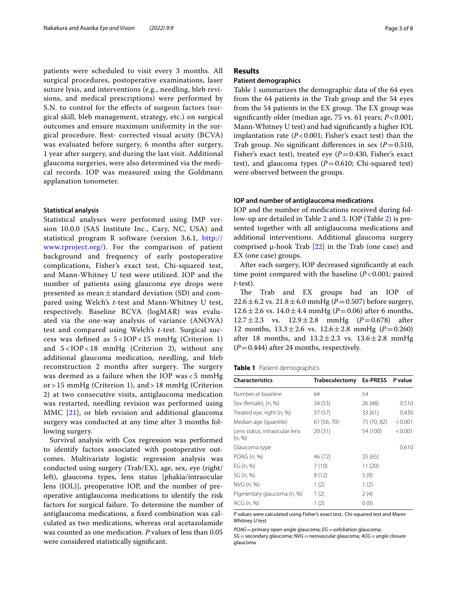patients were scheduled to visit every 3 months. All surgical procedures, postoperative examinations, laser suture lysis, and interventions (e.g., needling, bleb revisions, and medical prescriptions) were performed by S.N. to control for the efects of surgeon factors (surgical skill, bleb management, strategy, etc.) on surgical outcomes and ensure maximum uniformity in the surgical procedure. Best- corrected visual acuity (BCVA) was evaluated before surgery, 6 months after surgery, 1 year after surgery, and during the last visit. Additional glaucoma surgeries, were also determined via the medical records. IOP was measured using the Goldmann applanation tonometer.

#### **Statistical analysis**

Statistical analyses were performed using JMP version 10.0.0 (SAS Institute Inc., Cary, NC, USA) and statistical program R software (version 3.6.1, [http://](http://www.rproject.org/) [www.rproject.org/](http://www.rproject.org/)). For the comparison of patient background and frequency of early postoperative complications, Fisher's exact test, Chi-squared test, and Mann-Whitney U test were utilized. IOP and the number of patients using glaucoma eye drops were presented as mean $\pm$ standard deviation (SD) and compared using Welch's *t*-test and Mann-Whitney U test, respectively. Baseline BCVA (logMAR) was evaluated via the one-way analysis of variance (ANOVA) test and compared using Welch's *t*-test. Surgical success was defned as 5 < IOP < 15 mmHg (Criterion 1) and  $5 < IOP < 18$  mmHg (Criterion 2), without any additional glaucoma medication, needling, and bleb reconstruction 2 months after surgery. The surgery was deemed as a failure when the IOP was < 5 mmHg or > 15 mmHg (Criterion 1), and > 18 mmHg (Criterion 2) at two consecutive visits, antiglaucoma medication was restarted, needling revision was performed using MMC [[21\]](#page-7-6), or bleb revision and additional glaucoma surgery was conducted at any time after 3 months following surgery.

Survival analysis with Cox regression was performed to identify factors associated with postoperative outcomes. Multivariate logistic regression analysis was conducted using surgery (Trab/EX), age, sex, eye (right/ left), glaucoma types, lens status [phakia/intraocular lens (IOL)], preoperative IOP, and the number of preoperative antiglaucoma medications to identify the risk factors for surgical failure. To determine the number of antiglaucoma medications, a fxed combination was calculated as two medications, whereas oral acetazolamide was counted as one medication. *P* values of less than 0.05 were considered statistically signifcant.

### **Results**

### **Patient demographics**

Table [1](#page-2-0) summarizes the demographic data of the 64 eyes from the 64 patients in the Trab group and the 54 eyes from the 54 patients in the EX group. The EX group was signifcantly older (median age, 75 vs. 61 years; *P*<0.001; Mann-Whitney U test) and had signifcantly a higher IOL implantation rate  $(P<0.001$ ; Fisher's exact test) than the Trab group. No significant differences in sex  $(P=0.510,$ Fisher's exact test), treated eye ( $P = 0.430$ , Fisher's exact test), and glaucoma types  $(P=0.610;$  Chi-squared test) were observed between the groups.

### **IOP and number of antiglaucoma medications**

IOP and the number of medications received during follow-up are detailed in Table [2](#page-3-0) and [3.](#page-3-1) IOP (Table [2](#page-3-0)) is presented together with all antiglaucoma medications and additional interventions. Additional glaucoma surgery comprised μ-hook Trab [\[22](#page-7-7)] in the Trab (one case) and EX (one case) groups.

After each surgery, IOP decreased signifcantly at each time point compared with the baseline ( $P < 0.001$ ; paired *t*-test).

The Trab and EX groups had an IOP of 22.6  $\pm$  6.2 vs. 21.8  $\pm$  6.0 mmHg (*P* = 0.507) before surgery, 12.6 ± 2.6 vs. 14.0 ± 4.4 mmHg ( $P = 0.06$ ) after 6 months, 12.7±2.3 vs. 12.9±2.8 mmHg (*P*=0.678) after 12 months,  $13.3 \pm 2.6$  vs.  $12.6 \pm 2.8$  mmHg ( $P = 0.260$ ) after 18 months, and  $13.2 \pm 2.3$  vs.  $13.6 \pm 2.8$  mmHg  $(P=0.444)$  after 24 months, respectively.

<span id="page-2-0"></span>

|  |  | Table 1 Patient demographics |  |
|--|--|------------------------------|--|
|--|--|------------------------------|--|

| <b>Characteristics</b>                  | <b>Trabeculectomy</b> | Ex-PRESS P value |         |  |
|-----------------------------------------|-----------------------|------------------|---------|--|
| Number at baseline                      | 64                    | 54               |         |  |
| Sex (female), (n, %)                    | 34 (53)               | 26(48)           | 0.510   |  |
| Treated eye, right (n, %)               | 37(57)                | 33(61)           | 0.430   |  |
| Median age (quantile)                   | 61 (56, 70)           | 75 (70, 82)      | < 0.001 |  |
| Lens status, intraocular lens<br>(n, %) | 20(31)                | 54 (100)         | < 0.001 |  |
| Glaucoma type                           |                       |                  | 0.610   |  |
| POAG (n, %)                             | 46 (72)               | 35(65)           |         |  |
| EG(n, %)                                | 7(10)                 | 11(20)           |         |  |
| SG (n, %)                               | 8(12)                 | 5(9)             |         |  |
| NVG (n, %)                              | 1(2)                  | 1(2)             |         |  |
| Pigmentary glaucoma (n, %)              | 1(2)                  | 2(4)             |         |  |
| ACG (n, %)                              | 1(2)                  | 0(0)             |         |  |

*P* values were calculated using Fisher's exact test, Chi-squared test and Mann-Whitney *U* test

*POAG*=primary open-angle glaucoma; *EG*=exfoliation glaucoma;

*SG*=secondary glaucoma; *NVG*=neovascular glaucoma; *ACG*=angle closure glaucoma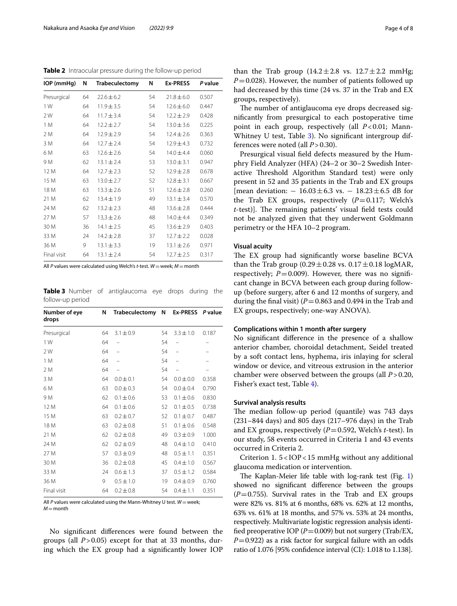<span id="page-3-0"></span>**Table 2** Intraocular pressure during the follow-up period

| IOP (mmHg)  | N  | <b>Trabeculectomy</b> | N  | <b>Ex-PRESS</b> | P value |
|-------------|----|-----------------------|----|-----------------|---------|
| Presurgical | 64 | $22.6 \pm 6.2$        | 54 | $21.8 \pm 6.0$  | 0.507   |
| 1 W         | 64 | $11.9 \pm 3.5$        | 54 | $12.6 \pm 6.0$  | 0.447   |
| 2 W         | 64 | $11.7 \pm 3.4$        | 54 | $12.2 \pm 2.9$  | 0.428   |
| 1 M         | 64 | $12.2 \pm 2.7$        | 54 | $13.0 \pm 3.6$  | 0.225   |
| 2 M         | 64 | $12.9 \pm 2.9$        | 54 | $12.4 \pm 2.6$  | 0.363   |
| 3 M         | 64 | $12.7 \pm 2.4$        | 54 | $12.9 \pm 4.3$  | 0.732   |
| 6 M         | 63 | $12.6 \pm 2.6$        | 54 | $14.0 \pm 4.4$  | 0.060   |
| 9 M         | 62 | $13.1 \pm 2.4$        | 53 | $13.0 \pm 3.1$  | 0.947   |
| 12 M        | 64 | $12.7 \pm 2.3$        | 52 | $12.9 \pm 2.8$  | 0.678   |
| 15 M        | 63 | $13.0 \pm 2.7$        | 52 | $12.8 \pm 3.1$  | 0.667   |
| 18 M        | 63 | $13.3 \pm 2.6$        | 51 | $12.6 \pm 2.8$  | 0.260   |
| 21 M        | 62 | $13.4 \pm 1.9$        | 49 | $13.1 \pm 3.4$  | 0.570   |
| 24 M        | 62 | $13.2 \pm 2.3$        | 48 | $13.6 \pm 2.8$  | 0.444   |
| 27 M        | 57 | $13,3 \pm 2.6$        | 48 | $14.0 \pm 4.4$  | 0.349   |
| 30 M        | 36 | $14.1 \pm 2.5$        | 45 | $13.6 \pm 2.9$  | 0.403   |
| 33 M        | 24 | $14.2 \pm 2.8$        | 37 | $12.7 \pm 2.2$  | 0.028   |
| 36 M        | 9  | $13.1 \pm 3.3$        | 19 | $13.1 \pm 2.6$  | 0.971   |
| Final visit | 64 | $13.1 \pm 2.4$        | 54 | $12.7 \pm 2.5$  | 0.317   |

All *P* values were calculated using Welch's *t*-test. *W*=week; *M*=month

<span id="page-3-1"></span>**Table 3** Number of antiglaucoma eye drops during the follow-up period

| Number of eye<br>drops | N  | Trabeculectomy | N  | <b>Ex-PRESS</b> | P value |
|------------------------|----|----------------|----|-----------------|---------|
| Presurgical            | 64 | $3.1 \pm 0.9$  | 54 | $3.3 \pm 1.0$   | 0.187   |
| 1 W                    | 64 |                | 54 |                 |         |
| 2 W                    | 64 |                | 54 |                 |         |
| 1 M                    | 64 |                | 54 |                 |         |
| 2 M                    | 64 |                | 54 |                 |         |
| 3 M                    | 64 | $0.0 \pm 0.1$  | 54 | $0.0 \pm 0.0$   | 0.358   |
| 6 M                    | 63 | $0.0 \pm 0.3$  | 54 | $0.0 \pm 0.4$   | 0.790   |
| 9 M                    | 62 | $0.1 \pm 0.6$  | 53 | $0.1 \pm 0.6$   | 0.830   |
| 12 M                   | 64 | $0.1 \pm 0.6$  | 52 | $0.1 \pm 0.5$   | 0.738   |
| 15 M                   | 63 | $0.2 \pm 0.7$  | 52 | $0.1 \pm 0.7$   | 0.487   |
| 18 M                   | 63 | $0.2 \pm 0.8$  | 51 | $0.1 \pm 0.6$   | 0.548   |
| 21 M                   | 62 | $0.2 \pm 0.8$  | 49 | $0.3 \pm 0.9$   | 1.000   |
| 24 M                   | 62 | $0.2 \pm 0.9$  | 48 | $0.4 + 1.0$     | 0.410   |
| 27 M                   | 57 | $0.3 \pm 0.9$  | 48 | $0.5 \pm 1.1$   | 0.351   |
| 30 M                   | 36 | $0.2 \pm 0.8$  | 45 | $0.4 \pm 1.0$   | 0.567   |
| 33 M                   | 24 | $0.6 \pm 1.3$  | 37 | $0.5 \pm 1.2$   | 0.584   |
| 36 M                   | 9  | $0.5 \pm 1.0$  | 19 | $0.4 \pm 0.9$   | 0.760   |
| Final visit            | 64 | $0.2 \pm 0.8$  | 54 | $0.4 \pm 1.1$   | 0.351   |

All *P* values were calculated using the Mann-Whitney U test. *W*=week; *M*=month

No signifcant diferences were found between the groups (all *P*>0.05) except for that at 33 months, during which the EX group had a signifcantly lower IOP than the Trab group  $(14.2 \pm 2.8 \text{ vs. } 12.7 \pm 2.2 \text{ mmHg})$  $P=0.028$ ). However, the number of patients followed up had decreased by this time (24 vs. 37 in the Trab and EX groups, respectively).

The number of antiglaucoma eye drops decreased signifcantly from presurgical to each postoperative time point in each group, respectively (all *P*<0.01; Mann-Whitney U test, Table [3](#page-3-1)). No significant intergroup differences were noted (all *P*>0.30).

Presurgical visual feld defects measured by the Humphry Field Analyzer (HFA) (24–2 or 30–2 Swedish Interactive Threshold Algorithm Standard test) were only present in 52 and 35 patients in the Trab and EX groups [mean deviation:  $-16.03 \pm 6.3$  vs.  $-18.23 \pm 6.5$  dB for the Trab EX groups, respectively  $(P=0.117;$  Welch's *t*-test)]. The remaining patients' visual field tests could not be analyzed given that they underwent Goldmann perimetry or the HFA 10–2 program.

### **Visual acuity**

The EX group had significantly worse baseline BCVA than the Trab group  $(0.29 \pm 0.28 \text{ vs. } 0.17 \pm 0.18 \text{ log} \text{MAR})$ respectively;  $P=0.009$ ). However, there was no significant change in BCVA between each group during followup (before surgery, after 6 and 12 months of surgery, and during the final visit)  $(P=0.863$  and 0.494 in the Trab and EX groups, respectively; one-way ANOVA).

### **Complications within 1 month after surgery**

No signifcant diference in the presence of a shallow anterior chamber, choroidal detachment, Seidel treated by a soft contact lens, hyphema, iris inlaying for scleral window or device, and vitreous extrusion in the anterior chamber were observed between the groups (all *P*>0.20, Fisher's exact test, Table [4](#page-4-0)).

### **Survival analysis results**

The median follow-up period (quantile) was 743 days (231–844 days) and 805 days (217–976 days) in the Trab and EX groups, respectively (*P*=0.592, Welch's *t*-test). In our study, 58 events occurred in Criteria 1 and 43 events occurred in Criteria 2.

Criterion 1. 5<IOP<15 mmHg without any additional glaucoma medication or intervention.

The Kaplan-Meier life table with log-rank test (Fig.  $1$ ) showed no signifcant diference between the groups  $(P=0.755)$ . Survival rates in the Trab and EX groups were 82% vs. 81% at 6 months, 68% vs. 62% at 12 months, 63% vs. 61% at 18 months, and 57% vs. 53% at 24 months, respectively. Multivariate logistic regression analysis identified preoperative IOP ( $P=0.009$ ) but not surgery (Trab/EX, *P*=0.922) as a risk factor for surgical failure with an odds ratio of 1.076 [95% confdence interval (CI): 1.018 to 1.138].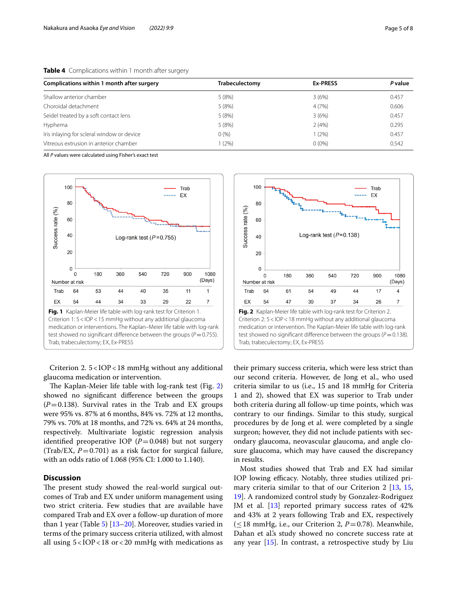| Complications within 1 month after surgery | Trabeculectomy | <b>Ex-PRESS</b> | <b>P</b> value |
|--------------------------------------------|----------------|-----------------|----------------|
| Shallow anterior chamber                   | 5(8%)          | 3(6%)           | 0.457          |
| Choroidal detachment                       | 5(8%)          | 4(7%)           | 0.606          |
| Seidel treated by a soft contact lens      | 5(8%)          | 3(6%)           | 0.457          |
| Hyphema                                    | 5(8%)          | 2(4%)           | 0.295          |
| Iris inlaying for scleral window or device | 0(%)           | 1(2%)           | 0.457          |
| Vitreous extrusion in anterior chamber     | (2%)           | $0(0\%)$        | 0.542          |

<span id="page-4-0"></span>**Table 4** Complications within 1 month after surgery

All *P* values were calculated using Fisher's exact test



<span id="page-4-1"></span>Criterion 2. 5<IOP<18 mmHg without any additional glaucoma medication or intervention.

The Kaplan-Meier life table with  $log-rank$  test (Fig. [2](#page-4-2)) showed no signifcant diference between the groups  $(P=0.138)$ . Survival rates in the Trab and EX groups were 95% vs. 87% at 6 months, 84% vs. 72% at 12 months, 79% vs. 70% at 18 months, and 72% vs. 64% at 24 months, respectively. Multivariate logistic regression analysis identified preoperative IOP  $(P=0.048)$  but not surgery (Trab/EX,  $P=0.701$ ) as a risk factor for surgical failure, with an odds ratio of 1.068 (95% CI: 1.000 to 1.140).

### **Discussion**

The present study showed the real-world surgical outcomes of Trab and EX under uniform management using two strict criteria. Few studies that are available have compared Trab and EX over a follow-up duration of more than 1 year (Table  $5$ ) [\[13–](#page-7-4)[20\]](#page-7-5). Moreover, studies varied in terms of the primary success criteria utilized, with almost all using 5<IOP<18 or<20 mmHg with medications as



<span id="page-4-2"></span>their primary success criteria, which were less strict than our second criteria. However, de Jong et al., who used criteria similar to us (i.e., 15 and 18 mmHg for Criteria 1 and 2), showed that EX was superior to Trab under both criteria during all follow-up time points, which was contrary to our fndings. Similar to this study, surgical procedures by de Jong et al. were completed by a single surgeon; however, they did not include patients with secondary glaucoma, neovascular glaucoma, and angle closure glaucoma, which may have caused the discrepancy in results.

Most studies showed that Trab and EX had similar IOP lowing efficacy. Notably, three studies utilized primary criteria similar to that of our Criterion 2 [[13](#page-7-4), [15](#page-7-8), [19\]](#page-7-9). A randomized control study by Gonzalez-Rodriguez JM et al. [\[13](#page-7-4)] reported primary success rates of 42% and 43% at 2 years following Trab and EX, respectively  $(\leq 18$  mmHg, i.e., our Criterion 2,  $P=0.78$ ). Meanwhile, Dahan et al's study showed no concrete success rate at any year [\[15](#page-7-8)]. In contrast, a retrospective study by Liu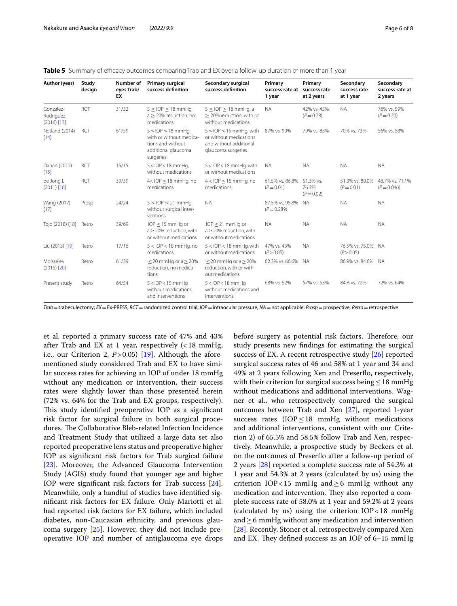| Author (year)                           | Study<br>design | Number of<br>eyes Trab/<br>EX | Primary surgical<br>success definition                                                                     | Secondary surgical<br>success definition                                                                  | Primary<br>success rate at<br>1 year | Primary<br>success rate<br>at 2 years | Secondary<br>success rate<br>at 1 year | Secondary<br>success rate at<br>2 years |
|-----------------------------------------|-----------------|-------------------------------|------------------------------------------------------------------------------------------------------------|-----------------------------------------------------------------------------------------------------------|--------------------------------------|---------------------------------------|----------------------------------------|-----------------------------------------|
| Gonzalez-<br>Rodriguez<br>$(2016)$ [13] | <b>RCT</b>      | 31/32                         | $5 <$ IOP $<$ 18 mmHg,<br>$a > 20\%$ reduction, no<br>medications                                          | $5 <$ IOP $<$ 18 mmHg, a<br>> 20% reduction, with or<br>without medications                               | <b>NA</b>                            | 42% vs. 43%<br>$(P = 0.78)$           | <b>NA</b>                              | 76% vs. 59%<br>$(P = 0.20)$             |
| Netland (2014)<br>$[14]$                | RCT             | 61/59                         | $5 <$ IOP $<$ 18 mmHq,<br>with or without medica-<br>tions and without<br>additional glaucoma<br>surgeries | $5 \le$ IOP $\le$ 15 mmHg, with<br>or without medications<br>and without additional<br>glaucoma surgeries | 87% vs. 90%                          | 79% vs. 83%                           | 70% vs. 73%                            | 56% vs. 58%                             |
| Dahan (2012)<br>$[15]$                  | <b>RCT</b>      | 15/15                         | $5 <$ IOP < 18 mmHq,<br>without medications                                                                | 5 <iop<18 mmhg,="" with<br="">or without medications</iop<18>                                             | <b>NA</b>                            | <b>NA</b>                             | <b>NA</b>                              | <b>NA</b>                               |
| de Jong L<br>$(2011)$ [16]              | RCT             | 39/39                         | $4 <$ IOP $<$ 18 mmHg, no<br>medications                                                                   | $4 <$ IOP $\leq$ 15 mmHg, no<br>medications                                                               | 61.5% vs. 86.8%<br>$(P = 0.01)$      | 51.3% vs.<br>76.3%<br>$(P = 0.02)$    | 51.3% vs. 80.0%<br>$(P = 0.01)$        | 48.7% vs. 71.1%<br>$(P = 0.046)$        |
| Wang (2017)<br>[17]                     | Prosp           | 24/24                         | $5 <$ IOP $<$ 21 mmHg,<br>without surgical inter-<br>ventions                                              | <b>NA</b>                                                                                                 | 87.5% vs. 95.8%<br>$(P = 0.289)$     | <b>NA</b>                             | <b>NA</b>                              | <b>NA</b>                               |
| Tojo (2018) [18]                        | Retro           | 39/69                         | $IOP < 15$ mmHg or<br>$a > 20\%$ reduction, with<br>or without medications                                 | $IOP < 21$ mmHq or<br>a > 20% reduction, with<br>or without medications                                   | <b>NA</b>                            | <b>NA</b>                             | <b>NA</b>                              | <b>NA</b>                               |
| Liu (2015) [19]                         | Retro           | 17/16                         | $5 <$ IOP $<$ 18 mmHg, no<br>medications                                                                   | $5 <$ IOP $<$ 18 mmHq, with<br>or without medications                                                     | 47% vs. 43%<br>(P > 0.05)            | <b>NA</b>                             | 76.5% vs. 75.0%<br>(P > 0.05)          | - NA                                    |
| Moisseiev<br>$(2015)$ [20]              | Retro           | 61/39                         | $<$ 20 mmHg or a $>$ 20%<br>reduction, no medica-<br>tions                                                 | $<$ 20 mmHg or a $>$ 20%<br>reduction, with or with-<br>out medications                                   | 62.3% vs. 66.6%                      | <b>NA</b>                             | 86.9% vs. 84.6% NA                     |                                         |
| Present study                           | Retro           | 64/54                         | $5 <$ IOP $<$ 15 mmHg<br>without medications<br>and interventions                                          | $5 <$ IOP $<$ 18 mmHq<br>without medications and<br>interventions                                         | 68% vs. 62%                          | 57% vs. 53%                           | 84% vs. 72%                            | 72% vs. 64%                             |

<span id="page-5-0"></span>

|  |  | <b>Table 5</b> Summary of efficacy outcomes comparing Trab and EX over a follow-up duration of more than 1 year |  |
|--|--|-----------------------------------------------------------------------------------------------------------------|--|
|  |  |                                                                                                                 |  |

*Trab*=trabeculectomy; *EX*=Ex-PRESS; *RCT*=randomized control trial; *IOP*=intraocular pressure; *NA*=not applicable; *Prosp*=prospective; *Retro*=retrospective

et al. reported a primary success rate of 47% and 43% after Trab and EX at 1 year, respectively (<18 mmHg, i.e., our Criterion 2,  $P > 0.05$  [[19\]](#page-7-9). Although the aforementioned study considered Trab and EX to have similar success rates for achieving an IOP of under 18 mmHg without any medication or intervention, their success rates were slightly lower than those presented herein (72% vs. 64% for the Trab and EX groups, respectively). This study identified preoperative IOP as a significant risk factor for surgical failure in both surgical procedures. The Collaborative Bleb-related Infection Incidence and Treatment Study that utilized a large data set also reported preoperative lens status and preoperative higher IOP as signifcant risk factors for Trab surgical failure [[23\]](#page-7-10). Moreover, the Advanced Glaucoma Intervention Study (AGIS) study found that younger age and higher IOP were signifcant risk factors for Trab success [\[24](#page-7-11)]. Meanwhile, only a handful of studies have identifed signifcant risk factors for EX failure. Only Mariotti et al. had reported risk factors for EX failure, which included diabetes, non-Caucasian ethnicity, and previous glaucoma surgery [[25\]](#page-7-12). However, they did not include preoperative IOP and number of antiglaucoma eye drops

before surgery as potential risk factors. Therefore, our study presents new fndings for estimating the surgical success of EX. A recent retrospective study [\[26](#page-7-13)] reported surgical success rates of 46 and 58% at 1 year and 34 and 49% at 2 years following Xen and Preserfo, respectively, with their criterion for surgical success being  $\leq$  18 mmHg without medications and additional interventions. Wagner et al., who retrospectively compared the surgical outcomes between Trab and Xen [[27](#page-7-14)], reported 1-year success rates ( $IOP \leq 18$  mmHg without medications and additional interventions, consistent with our Criterion 2) of 65.5% and 58.5% follow Trab and Xen, respectively. Meanwhile, a prospective study by Beckers et al. on the outcomes of Preserfo after a follow-up period of 2 years [[28](#page-7-15)] reported a complete success rate of 54.3% at 1 year and 54.3% at 2 years (calculated by us) using the criterion IOP<15 mmHg and  $\geq$ 6 mmHg without any medication and intervention. They also reported a complete success rate of 58.0% at 1 year and 59.2% at 2 years (calculated by us) using the criterion IOP<18 mmHg and≥6 mmHg without any medication and intervention [[28\]](#page-7-15). Recently, Stoner et al. retrospectively compared Xen and EX. They defined success as an IOP of  $6-15$  mmHg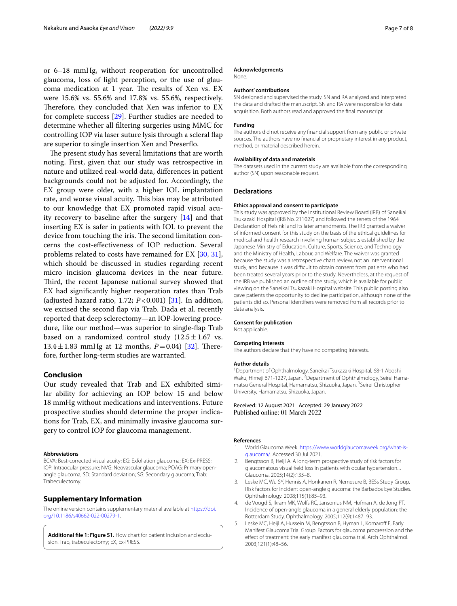or 6–18 mmHg, without reoperation for uncontrolled glaucoma, loss of light perception, or the use of glaucoma medication at 1 year. The results of Xen vs. EX were 15.6% vs. 55.6% and 17.8% vs. 55.6%, respectively. Therefore, they concluded that Xen was inferior to EX for complete success [[29\]](#page-7-20). Further studies are needed to determine whether all fltering surgeries using MMC for controlling IOP via laser suture lysis through a scleral fap are superior to single insertion Xen and Preserfo.

The present study has several limitations that are worth noting. First, given that our study was retrospective in nature and utilized real-world data, diferences in patient backgrounds could not be adjusted for. Accordingly, the EX group were older, with a higher IOL implantation rate, and worse visual acuity. This bias may be attributed to our knowledge that EX promoted rapid visual acuity recovery to baseline after the surgery [[14\]](#page-7-16) and that inserting EX is safer in patients with IOL to prevent the device from touching the iris. The second limitation concerns the cost-efectiveness of IOP reduction. Several problems related to costs have remained for EX [\[30](#page-7-21), [31](#page-7-22)], which should be discussed in studies regarding recent micro incision glaucoma devices in the near future. Third, the recent Japanese national survey showed that EX had signifcantly higher reoperation rates than Trab (adjusted hazard ratio, 1.72;  $P < 0.001$ ) [[31\]](#page-7-22). In addition, we excised the second fap via Trab. Dada et al. recently reported that deep sclerectomy—an IOP-lowering procedure, like our method—was superior to single-fap Trab based on a randomized control study  $(12.5 \pm 1.67 \text{ vs.})$ 13.4 $\pm$ 1.83 mmHg at 12 months, *P*=0.04) [\[32\]](#page-7-23). Therefore, further long-term studies are warranted.

### **Conclusion**

Our study revealed that Trab and EX exhibited similar ability for achieving an IOP below 15 and below 18 mmHg without medications and interventions. Future prospective studies should determine the proper indications for Trab, EX, and minimally invasive glaucoma surgery to control IOP for glaucoma management.

#### **Abbreviations**

BCVA: Best-corrected visual acuity; EG: Exfoliation glaucoma; EX: Ex-PRESS; IOP: Intraocular pressure; NVG: Neovascular glaucoma; POAG: Primary openangle glaucoma; SD: Standard deviation; SG: Secondary glaucoma; Trab: Trabeculectomy.

### **Supplementary Information**

The online version contains supplementary material available at [https://doi.](https://doi.org/10.1186/s40662-022-00279-1) [org/10.1186/s40662-022-00279-1](https://doi.org/10.1186/s40662-022-00279-1).

<span id="page-6-4"></span>**Additional fle 1: Figure S1.** Flow chart for patient inclusion and exclusion. Trab, trabeculectomy; EX, Ex-PRESS.

#### **Acknowledgements**

None.

#### **Authors' contributions**

SN designed and supervised the study. SN and RA analyzed and interpreted the data and drafted the manuscript. SN and RA were responsible for data acquisition. Both authors read and approved the fnal manuscript.

#### **Funding**

The authors did not receive any fnancial support from any public or private sources. The authors have no fnancial or proprietary interest in any product, method, or material described herein.

#### **Availability of data and materials**

The datasets used in the current study are available from the corresponding author (SN) upon reasonable request.

#### **Declarations**

#### **Ethics approval and consent to participate**

This study was approved by the Institutional Review Board (IRB) of Saneikai Tsukazaki Hospital (IRB No. 211027) and followed the tenets of the 1964 Declaration of Helsinki and its later amendments. The IRB granted a waiver of informed consent for this study on the basis of the ethical guidelines for medical and health research involving human subjects established by the Japanese Ministry of Education, Culture, Sports, Science, and Technology and the Ministry of Health, Labour, and Welfare. The waiver was granted because the study was a retrospective chart review, not an interventional study, and because it was difficult to obtain consent from patients who had been treated several years prior to the study. Nevertheless, at the request of the IRB we published an outline of the study, which is available for public viewing on the Saneikai Tsukazaki Hospital website. This public posting also gave patients the opportunity to decline participation, although none of the patients did so. Personal identifers were removed from all records prior to data analysis.

#### **Consent for publication**

Not applicable.

#### **Competing interests**

The authors declare that they have no competing interests.

#### **Author details**

1 Department of Ophthalmology, Saneikai Tsukazaki Hospital, 68-1 Aboshi Waku, Himeji 671-1227, Japan.<sup>2</sup> Department of Ophthalmology, Seirei Hamamatsu General Hospital, Hamamatsu, Shizuoka, Japan. <sup>3</sup>Seirei Christopher University, Hamamatsu, Shizuoka, Japan.

#### Received: 12 August 2021 Accepted: 29 January 2022 Published online: 01 March 2022

#### **References**

- <span id="page-6-0"></span>1. World Glaucoma Week. [https://www.worldglaucomaweek.org/what-is](https://www.worldglaucomaweek.org/what-is-glaucoma/)[glaucoma/](https://www.worldglaucomaweek.org/what-is-glaucoma/). Accessed 30 Jul 2021.
- <span id="page-6-1"></span>2. Bengtsson B, Heijl A. A long-term prospective study of risk factors for glaucomatous visual feld loss in patients with ocular hypertension. J Glaucoma. 2005;14(2):135–8.
- 3. Leske MC, Wu SY, Hennis A, Honkanen R, Nemesure B, BESs Study Group. Risk factors for incident open-angle glaucoma: the Barbados Eye Studies. Ophthalmology. 2008;115(1):85–93.
- <span id="page-6-2"></span>4. de Voogd S, Ikram MK, Wolfs RC, Jansonius NM, Hofman A, de Jong PT. Incidence of open-angle glaucoma in a general elderly population: the Rotterdam Study. Ophthalmology. 2005;112(9):1487–93.
- <span id="page-6-3"></span>5. Leske MC, Heijl A, Hussein M, Bengtsson B, Hyman L, Komarof E, Early Manifest Glaucoma Trial Group. Factors for glaucoma progression and the efect of treatment: the early manifest glaucoma trial. Arch Ophthalmol. 2003;121(1):48–56.